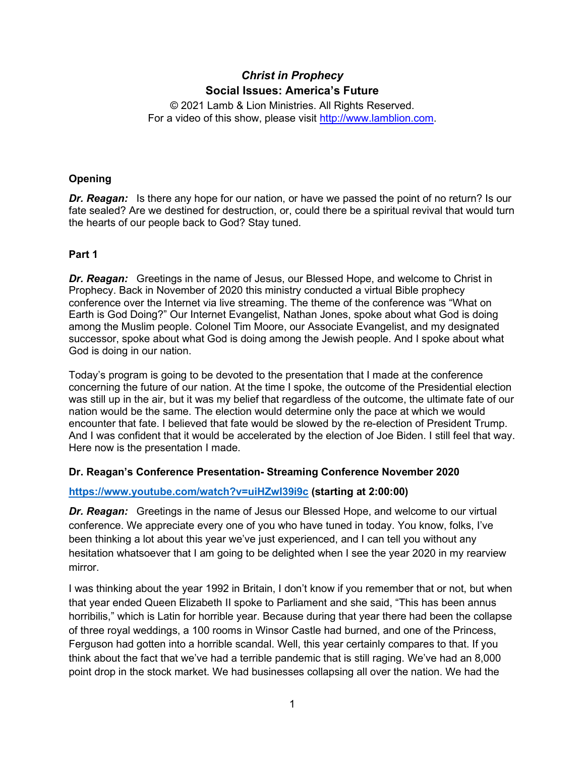# *Christ in Prophecy* **Social Issues: America's Future**

© 2021 Lamb & Lion Ministries. All Rights Reserved. For a video of this show, please visit [http://www.lamblion.com.](http://www.lamblion.com/)

## **Opening**

*Dr. Reagan:* Is there any hope for our nation, or have we passed the point of no return? Is our fate sealed? Are we destined for destruction, or, could there be a spiritual revival that would turn the hearts of our people back to God? Stay tuned.

### **Part 1**

*Dr. Reagan:* Greetings in the name of Jesus, our Blessed Hope, and welcome to Christ in Prophecy. Back in November of 2020 this ministry conducted a virtual Bible prophecy conference over the Internet via live streaming. The theme of the conference was "What on Earth is God Doing?" Our Internet Evangelist, Nathan Jones, spoke about what God is doing among the Muslim people. Colonel Tim Moore, our Associate Evangelist, and my designated successor, spoke about what God is doing among the Jewish people. And I spoke about what God is doing in our nation.

Today's program is going to be devoted to the presentation that I made at the conference concerning the future of our nation. At the time I spoke, the outcome of the Presidential election was still up in the air, but it was my belief that regardless of the outcome, the ultimate fate of our nation would be the same. The election would determine only the pace at which we would encounter that fate. I believed that fate would be slowed by the re-election of President Trump. And I was confident that it would be accelerated by the election of Joe Biden. I still feel that way. Here now is the presentation I made.

#### **Dr. Reagan's Conference Presentation- Streaming Conference November 2020**

#### **<https://www.youtube.com/watch?v=uiHZwI39i9c> (starting at 2:00:00)**

*Dr. Reagan:* Greetings in the name of Jesus our Blessed Hope, and welcome to our virtual conference. We appreciate every one of you who have tuned in today. You know, folks, I've been thinking a lot about this year we've just experienced, and I can tell you without any hesitation whatsoever that I am going to be delighted when I see the year 2020 in my rearview mirror.

I was thinking about the year 1992 in Britain, I don't know if you remember that or not, but when that year ended Queen Elizabeth II spoke to Parliament and she said, "This has been annus horribilis," which is Latin for horrible year. Because during that year there had been the collapse of three royal weddings, a 100 rooms in Winsor Castle had burned, and one of the Princess, Ferguson had gotten into a horrible scandal. Well, this year certainly compares to that. If you think about the fact that we've had a terrible pandemic that is still raging. We've had an 8,000 point drop in the stock market. We had businesses collapsing all over the nation. We had the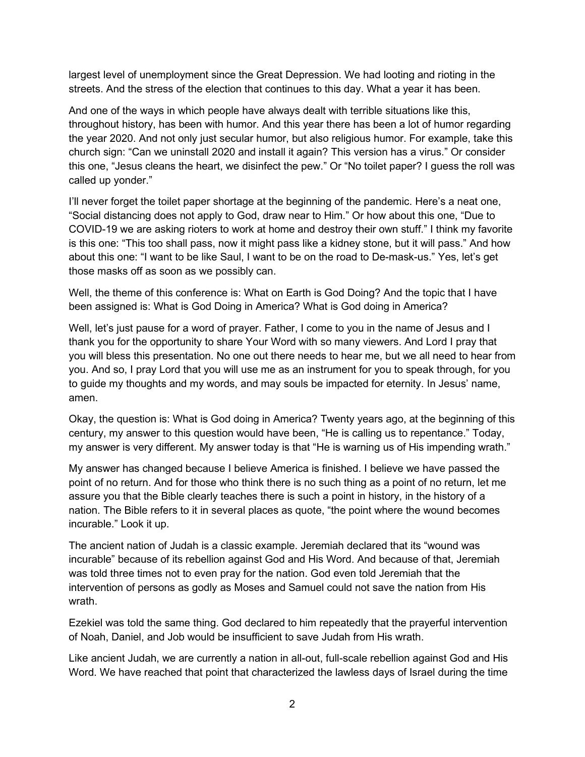largest level of unemployment since the Great Depression. We had looting and rioting in the streets. And the stress of the election that continues to this day. What a year it has been.

And one of the ways in which people have always dealt with terrible situations like this, throughout history, has been with humor. And this year there has been a lot of humor regarding the year 2020. And not only just secular humor, but also religious humor. For example, take this church sign: "Can we uninstall 2020 and install it again? This version has a virus." Or consider this one, "Jesus cleans the heart, we disinfect the pew." Or "No toilet paper? I guess the roll was called up yonder."

I'll never forget the toilet paper shortage at the beginning of the pandemic. Here's a neat one, "Social distancing does not apply to God, draw near to Him." Or how about this one, "Due to COVID-19 we are asking rioters to work at home and destroy their own stuff." I think my favorite is this one: "This too shall pass, now it might pass like a kidney stone, but it will pass." And how about this one: "I want to be like Saul, I want to be on the road to De-mask-us." Yes, let's get those masks off as soon as we possibly can.

Well, the theme of this conference is: What on Earth is God Doing? And the topic that I have been assigned is: What is God Doing in America? What is God doing in America?

Well, let's just pause for a word of prayer. Father, I come to you in the name of Jesus and I thank you for the opportunity to share Your Word with so many viewers. And Lord I pray that you will bless this presentation. No one out there needs to hear me, but we all need to hear from you. And so, I pray Lord that you will use me as an instrument for you to speak through, for you to guide my thoughts and my words, and may souls be impacted for eternity. In Jesus' name, amen.

Okay, the question is: What is God doing in America? Twenty years ago, at the beginning of this century, my answer to this question would have been, "He is calling us to repentance." Today, my answer is very different. My answer today is that "He is warning us of His impending wrath."

My answer has changed because I believe America is finished. I believe we have passed the point of no return. And for those who think there is no such thing as a point of no return, let me assure you that the Bible clearly teaches there is such a point in history, in the history of a nation. The Bible refers to it in several places as quote, "the point where the wound becomes incurable." Look it up.

The ancient nation of Judah is a classic example. Jeremiah declared that its "wound was incurable" because of its rebellion against God and His Word. And because of that, Jeremiah was told three times not to even pray for the nation. God even told Jeremiah that the intervention of persons as godly as Moses and Samuel could not save the nation from His wrath.

Ezekiel was told the same thing. God declared to him repeatedly that the prayerful intervention of Noah, Daniel, and Job would be insufficient to save Judah from His wrath.

Like ancient Judah, we are currently a nation in all-out, full-scale rebellion against God and His Word. We have reached that point that characterized the lawless days of Israel during the time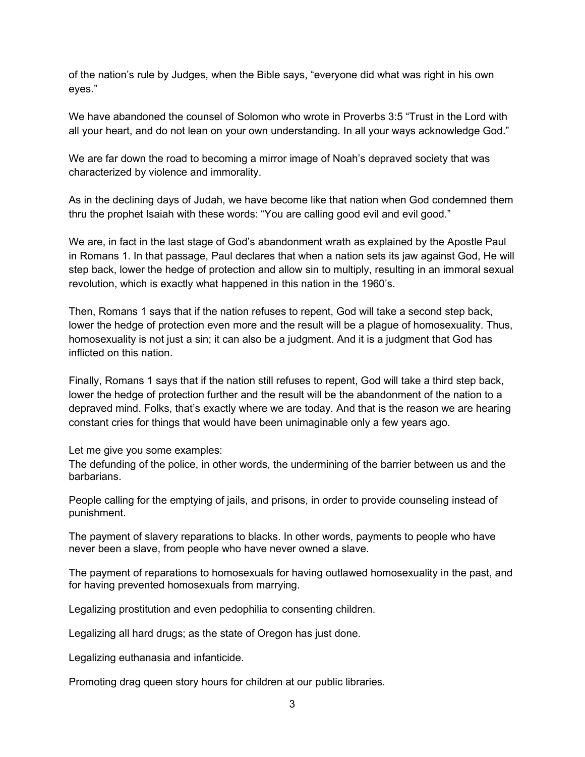of the nation's rule by Judges, when the Bible says, "everyone did what was right in his own eyes."

We have abandoned the counsel of Solomon who wrote in Proverbs 3:5 "Trust in the Lord with all your heart, and do not lean on your own understanding. In all your ways acknowledge God."

We are far down the road to becoming a mirror image of Noah's depraved society that was characterized by violence and immorality.

As in the declining days of Judah, we have become like that nation when God condemned them thru the prophet Isaiah with these words: "You are calling good evil and evil good."

We are, in fact in the last stage of God's abandonment wrath as explained by the Apostle Paul in Romans 1. In that passage, Paul declares that when a nation sets its jaw against God, He will step back, lower the hedge of protection and allow sin to multiply, resulting in an immoral sexual revolution, which is exactly what happened in this nation in the 1960's.

Then, Romans 1 says that if the nation refuses to repent, God will take a second step back, lower the hedge of protection even more and the result will be a plague of homosexuality. Thus, homosexuality is not just a sin; it can also be a judgment. And it is a judgment that God has inflicted on this nation.

Finally, Romans 1 says that if the nation still refuses to repent, God will take a third step back, lower the hedge of protection further and the result will be the abandonment of the nation to a depraved mind. Folks, that's exactly where we are today. And that is the reason we are hearing constant cries for things that would have been unimaginable only a few years ago.

Let me give you some examples:

The defunding of the police, in other words, the undermining of the barrier between us and the barbarians.

People calling for the emptying of jails, and prisons, in order to provide counseling instead of punishment.

The payment of slavery reparations to blacks. In other words, payments to people who have never been a slave, from people who have never owned a slave.

The payment of reparations to homosexuals for having outlawed homosexuality in the past, and for having prevented homosexuals from marrying.

Legalizing prostitution and even pedophilia to consenting children.

Legalizing all hard drugs; as the state of Oregon has just done.

Legalizing euthanasia and infanticide.

Promoting drag queen story hours for children at our public libraries.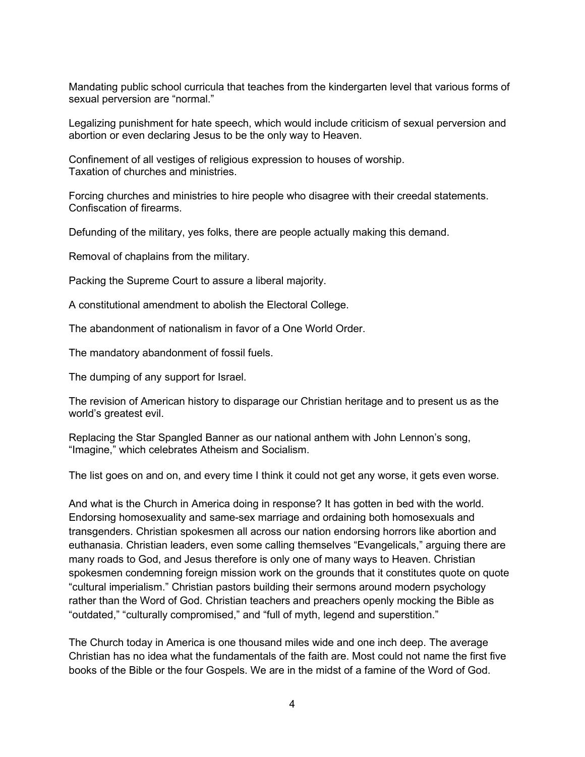Mandating public school curricula that teaches from the kindergarten level that various forms of sexual perversion are "normal."

Legalizing punishment for hate speech, which would include criticism of sexual perversion and abortion or even declaring Jesus to be the only way to Heaven.

Confinement of all vestiges of religious expression to houses of worship. Taxation of churches and ministries.

Forcing churches and ministries to hire people who disagree with their creedal statements. Confiscation of firearms.

Defunding of the military, yes folks, there are people actually making this demand.

Removal of chaplains from the military.

Packing the Supreme Court to assure a liberal majority.

A constitutional amendment to abolish the Electoral College.

The abandonment of nationalism in favor of a One World Order.

The mandatory abandonment of fossil fuels.

The dumping of any support for Israel.

The revision of American history to disparage our Christian heritage and to present us as the world's greatest evil.

Replacing the Star Spangled Banner as our national anthem with John Lennon's song, "Imagine," which celebrates Atheism and Socialism.

The list goes on and on, and every time I think it could not get any worse, it gets even worse.

And what is the Church in America doing in response? It has gotten in bed with the world. Endorsing homosexuality and same-sex marriage and ordaining both homosexuals and transgenders. Christian spokesmen all across our nation endorsing horrors like abortion and euthanasia. Christian leaders, even some calling themselves "Evangelicals," arguing there are many roads to God, and Jesus therefore is only one of many ways to Heaven. Christian spokesmen condemning foreign mission work on the grounds that it constitutes quote on quote "cultural imperialism." Christian pastors building their sermons around modern psychology rather than the Word of God. Christian teachers and preachers openly mocking the Bible as "outdated," "culturally compromised," and "full of myth, legend and superstition."

The Church today in America is one thousand miles wide and one inch deep. The average Christian has no idea what the fundamentals of the faith are. Most could not name the first five books of the Bible or the four Gospels. We are in the midst of a famine of the Word of God.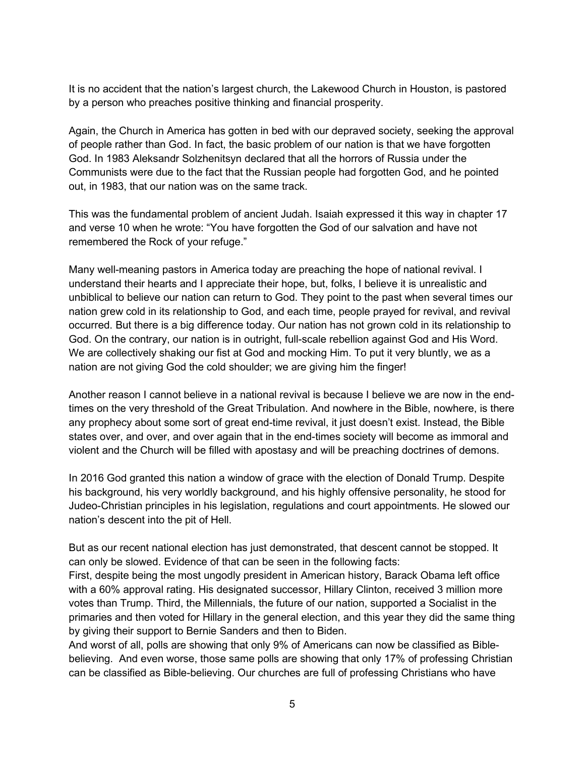It is no accident that the nation's largest church, the Lakewood Church in Houston, is pastored by a person who preaches positive thinking and financial prosperity.

Again, the Church in America has gotten in bed with our depraved society, seeking the approval of people rather than God. In fact, the basic problem of our nation is that we have forgotten God. In 1983 Aleksandr Solzhenitsyn declared that all the horrors of Russia under the Communists were due to the fact that the Russian people had forgotten God, and he pointed out, in 1983, that our nation was on the same track.

This was the fundamental problem of ancient Judah. Isaiah expressed it this way in chapter 17 and verse 10 when he wrote: "You have forgotten the God of our salvation and have not remembered the Rock of your refuge."

Many well-meaning pastors in America today are preaching the hope of national revival. I understand their hearts and I appreciate their hope, but, folks, I believe it is unrealistic and unbiblical to believe our nation can return to God. They point to the past when several times our nation grew cold in its relationship to God, and each time, people prayed for revival, and revival occurred. But there is a big difference today. Our nation has not grown cold in its relationship to God. On the contrary, our nation is in outright, full-scale rebellion against God and His Word. We are collectively shaking our fist at God and mocking Him. To put it very bluntly, we as a nation are not giving God the cold shoulder; we are giving him the finger!

Another reason I cannot believe in a national revival is because I believe we are now in the endtimes on the very threshold of the Great Tribulation. And nowhere in the Bible, nowhere, is there any prophecy about some sort of great end-time revival, it just doesn't exist. Instead, the Bible states over, and over, and over again that in the end-times society will become as immoral and violent and the Church will be filled with apostasy and will be preaching doctrines of demons.

In 2016 God granted this nation a window of grace with the election of Donald Trump. Despite his background, his very worldly background, and his highly offensive personality, he stood for Judeo-Christian principles in his legislation, regulations and court appointments. He slowed our nation's descent into the pit of Hell.

But as our recent national election has just demonstrated, that descent cannot be stopped. It can only be slowed. Evidence of that can be seen in the following facts:

First, despite being the most ungodly president in American history, Barack Obama left office with a 60% approval rating. His designated successor, Hillary Clinton, received 3 million more votes than Trump. Third, the Millennials, the future of our nation, supported a Socialist in the primaries and then voted for Hillary in the general election, and this year they did the same thing by giving their support to Bernie Sanders and then to Biden.

And worst of all, polls are showing that only 9% of Americans can now be classified as Biblebelieving. And even worse, those same polls are showing that only 17% of professing Christian can be classified as Bible-believing. Our churches are full of professing Christians who have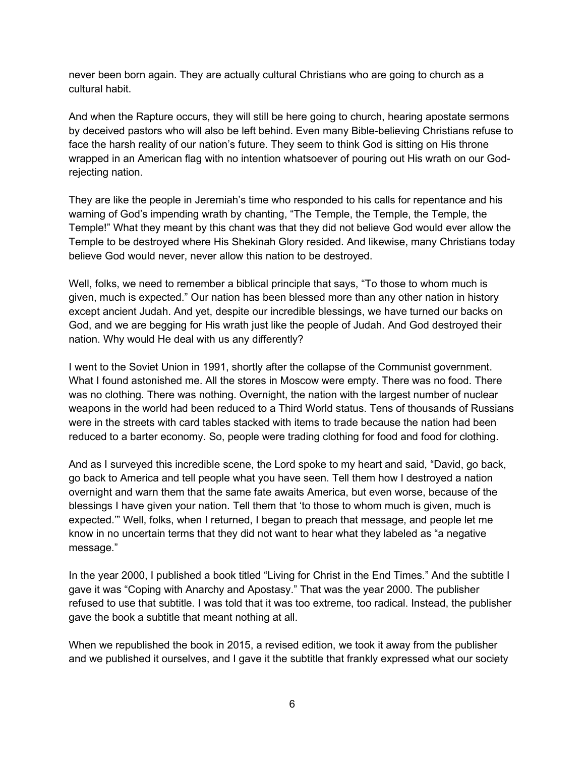never been born again. They are actually cultural Christians who are going to church as a cultural habit.

And when the Rapture occurs, they will still be here going to church, hearing apostate sermons by deceived pastors who will also be left behind. Even many Bible-believing Christians refuse to face the harsh reality of our nation's future. They seem to think God is sitting on His throne wrapped in an American flag with no intention whatsoever of pouring out His wrath on our Godrejecting nation.

They are like the people in Jeremiah's time who responded to his calls for repentance and his warning of God's impending wrath by chanting, "The Temple, the Temple, the Temple, the Temple!" What they meant by this chant was that they did not believe God would ever allow the Temple to be destroyed where His Shekinah Glory resided. And likewise, many Christians today believe God would never, never allow this nation to be destroyed.

Well, folks, we need to remember a biblical principle that says, "To those to whom much is given, much is expected." Our nation has been blessed more than any other nation in history except ancient Judah. And yet, despite our incredible blessings, we have turned our backs on God, and we are begging for His wrath just like the people of Judah. And God destroyed their nation. Why would He deal with us any differently?

I went to the Soviet Union in 1991, shortly after the collapse of the Communist government. What I found astonished me. All the stores in Moscow were empty. There was no food. There was no clothing. There was nothing. Overnight, the nation with the largest number of nuclear weapons in the world had been reduced to a Third World status. Tens of thousands of Russians were in the streets with card tables stacked with items to trade because the nation had been reduced to a barter economy. So, people were trading clothing for food and food for clothing.

And as I surveyed this incredible scene, the Lord spoke to my heart and said, "David, go back, go back to America and tell people what you have seen. Tell them how I destroyed a nation overnight and warn them that the same fate awaits America, but even worse, because of the blessings I have given your nation. Tell them that 'to those to whom much is given, much is expected.'" Well, folks, when I returned, I began to preach that message, and people let me know in no uncertain terms that they did not want to hear what they labeled as "a negative message."

In the year 2000, I published a book titled "Living for Christ in the End Times." And the subtitle I gave it was "Coping with Anarchy and Apostasy." That was the year 2000. The publisher refused to use that subtitle. I was told that it was too extreme, too radical. Instead, the publisher gave the book a subtitle that meant nothing at all.

When we republished the book in 2015, a revised edition, we took it away from the publisher and we published it ourselves, and I gave it the subtitle that frankly expressed what our society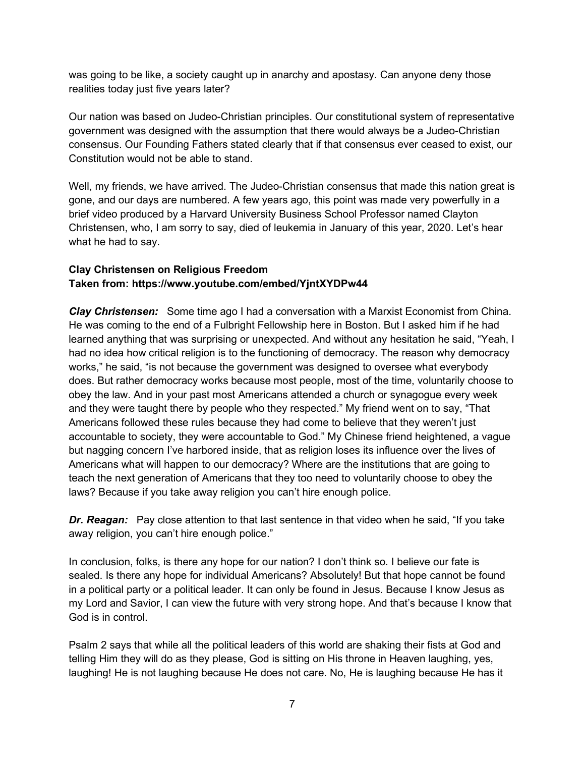was going to be like, a society caught up in anarchy and apostasy. Can anyone deny those realities today just five years later?

Our nation was based on Judeo-Christian principles. Our constitutional system of representative government was designed with the assumption that there would always be a Judeo-Christian consensus. Our Founding Fathers stated clearly that if that consensus ever ceased to exist, our Constitution would not be able to stand.

Well, my friends, we have arrived. The Judeo-Christian consensus that made this nation great is gone, and our days are numbered. A few years ago, this point was made very powerfully in a brief video produced by a Harvard University Business School Professor named Clayton Christensen, who, I am sorry to say, died of leukemia in January of this year, 2020. Let's hear what he had to say.

# **Clay Christensen on Religious Freedom Taken from: https://www.youtube.com/embed/YjntXYDPw44**

*Clay Christensen:* Some time ago I had a conversation with a Marxist Economist from China. He was coming to the end of a Fulbright Fellowship here in Boston. But I asked him if he had learned anything that was surprising or unexpected. And without any hesitation he said, "Yeah, I had no idea how critical religion is to the functioning of democracy. The reason why democracy works," he said, "is not because the government was designed to oversee what everybody does. But rather democracy works because most people, most of the time, voluntarily choose to obey the law. And in your past most Americans attended a church or synagogue every week and they were taught there by people who they respected." My friend went on to say, "That Americans followed these rules because they had come to believe that they weren't just accountable to society, they were accountable to God." My Chinese friend heightened, a vague but nagging concern I've harbored inside, that as religion loses its influence over the lives of Americans what will happen to our democracy? Where are the institutions that are going to teach the next generation of Americans that they too need to voluntarily choose to obey the laws? Because if you take away religion you can't hire enough police.

**Dr. Reagan:** Pay close attention to that last sentence in that video when he said, "If you take away religion, you can't hire enough police."

In conclusion, folks, is there any hope for our nation? I don't think so. I believe our fate is sealed. Is there any hope for individual Americans? Absolutely! But that hope cannot be found in a political party or a political leader. It can only be found in Jesus. Because I know Jesus as my Lord and Savior, I can view the future with very strong hope. And that's because I know that God is in control.

Psalm 2 says that while all the political leaders of this world are shaking their fists at God and telling Him they will do as they please, God is sitting on His throne in Heaven laughing, yes, laughing! He is not laughing because He does not care. No, He is laughing because He has it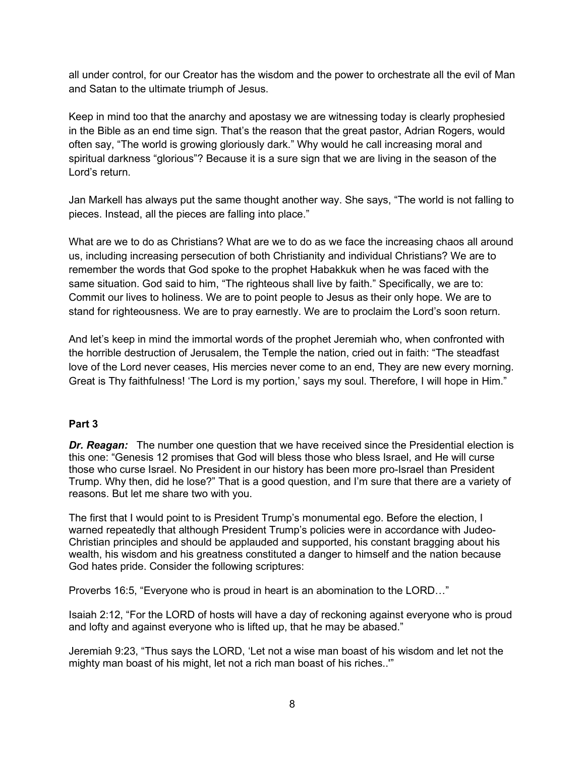all under control, for our Creator has the wisdom and the power to orchestrate all the evil of Man and Satan to the ultimate triumph of Jesus.

Keep in mind too that the anarchy and apostasy we are witnessing today is clearly prophesied in the Bible as an end time sign. That's the reason that the great pastor, Adrian Rogers, would often say, "The world is growing gloriously dark." Why would he call increasing moral and spiritual darkness "glorious"? Because it is a sure sign that we are living in the season of the Lord's return.

Jan Markell has always put the same thought another way. She says, "The world is not falling to pieces. Instead, all the pieces are falling into place."

What are we to do as Christians? What are we to do as we face the increasing chaos all around us, including increasing persecution of both Christianity and individual Christians? We are to remember the words that God spoke to the prophet Habakkuk when he was faced with the same situation. God said to him, "The righteous shall live by faith." Specifically, we are to: Commit our lives to holiness. We are to point people to Jesus as their only hope. We are to stand for righteousness. We are to pray earnestly. We are to proclaim the Lord's soon return.

And let's keep in mind the immortal words of the prophet Jeremiah who, when confronted with the horrible destruction of Jerusalem, the Temple the nation, cried out in faith: "The steadfast love of the Lord never ceases, His mercies never come to an end, They are new every morning. Great is Thy faithfulness! 'The Lord is my portion,' says my soul. Therefore, I will hope in Him."

#### **Part 3**

*Dr. Reagan:* The number one question that we have received since the Presidential election is this one: "Genesis 12 promises that God will bless those who bless Israel, and He will curse those who curse Israel. No President in our history has been more pro-Israel than President Trump. Why then, did he lose?" That is a good question, and I'm sure that there are a variety of reasons. But let me share two with you.

The first that I would point to is President Trump's monumental ego. Before the election, I warned repeatedly that although President Trump's policies were in accordance with Judeo-Christian principles and should be applauded and supported, his constant bragging about his wealth, his wisdom and his greatness constituted a danger to himself and the nation because God hates pride. Consider the following scriptures:

Proverbs 16:5, "Everyone who is proud in heart is an abomination to the LORD…"

Isaiah 2:12, "For the LORD of hosts will have a day of reckoning against everyone who is proud and lofty and against everyone who is lifted up, that he may be abased."

Jeremiah 9:23, "Thus says the LORD, 'Let not a wise man boast of his wisdom and let not the mighty man boast of his might, let not a rich man boast of his riches..'"